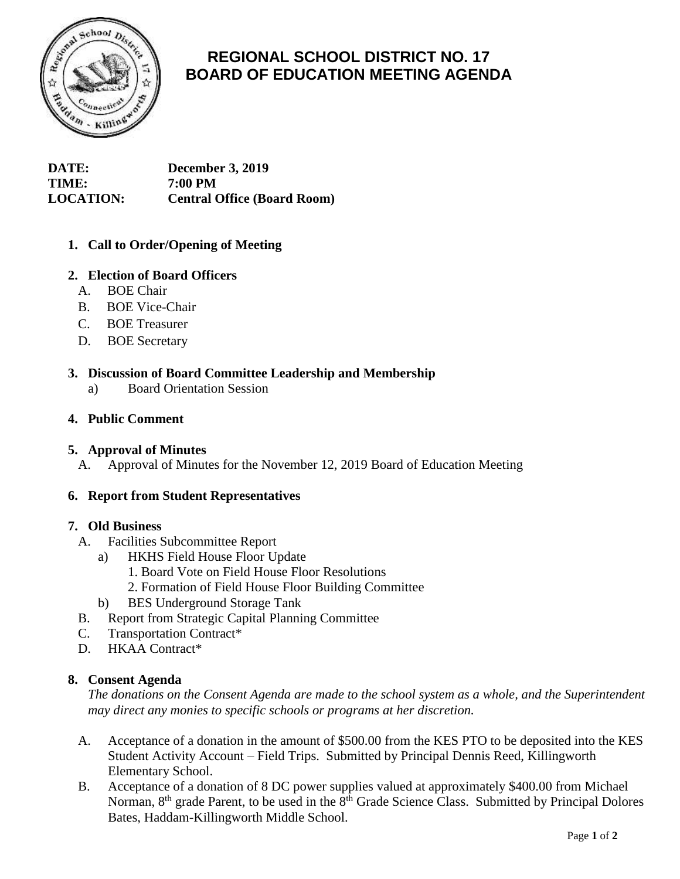

# **REGIONAL SCHOOL DISTRICT NO. 17 BOARD OF EDUCATION MEETING AGENDA**

**DATE: December 3, 2019 TIME: 7:00 PM LOCATION: Central Office (Board Room)**

# **1. Call to Order/Opening of Meeting**

# **2. Election of Board Officers**

- A. BOE Chair
- B. BOE Vice-Chair
- C. BOE Treasurer
- D. BOE Secretary

## **3. Discussion of Board Committee Leadership and Membership**

a) Board Orientation Session

## **4. Public Comment**

#### **5. Approval of Minutes**

A. Approval of Minutes for the November 12, 2019 Board of Education Meeting

#### **6. Report from Student Representatives**

#### **7. Old Business**

- A. Facilities Subcommittee Report
	- a) HKHS Field House Floor Update
		- 1. Board Vote on Field House Floor Resolutions
		- 2. Formation of Field House Floor Building Committee
	- b) BES Underground Storage Tank
- B. Report from Strategic Capital Planning Committee
- C. Transportation Contract\*
- D. HKAA Contract\*

# **8. Consent Agenda**

*The donations on the Consent Agenda are made to the school system as a whole, and the Superintendent may direct any monies to specific schools or programs at her discretion.*

- A. Acceptance of a donation in the amount of \$500.00 from the KES PTO to be deposited into the KES Student Activity Account – Field Trips. Submitted by Principal Dennis Reed, Killingworth Elementary School.
- B. Acceptance of a donation of 8 DC power supplies valued at approximately \$400.00 from Michael Norman, 8<sup>th</sup> grade Parent, to be used in the 8<sup>th</sup> Grade Science Class. Submitted by Principal Dolores Bates, Haddam-Killingworth Middle School.